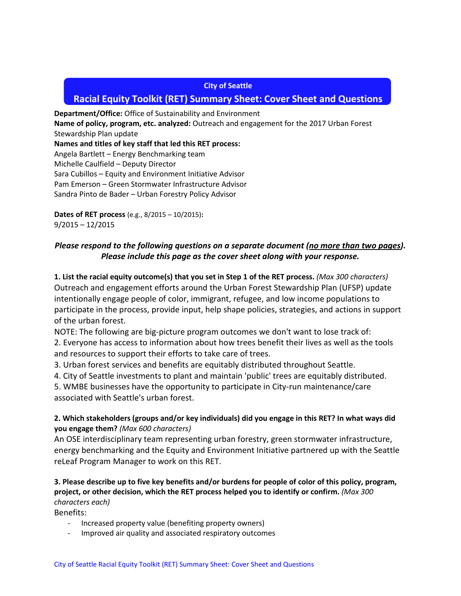### **City of Seattle**

# **Racial Equity Toolkit (RET) Summary Sheet: Cover Sheet and Questions**

**Department/Office:** Office of Sustainability and Environment **Name of policy, program, etc. analyzed:** Outreach and engagement for the 2017 Urban Forest Stewardship Plan update **Names and titles of key staff that led this RET process:**  Angela Bartlett – Energy Benchmarking team Michelle Caulfield – Deputy Director Sara Cubillos – Equity and Environment Initiative Advisor Pam Emerson – Green Stormwater Infrastructure Advisor Sandra Pinto de Bader – Urban Forestry Policy Advisor

**Dates of RET process** (e.g., 8/2015 – 10/2015)**:** 9/2015 – 12/2015

# *Please respond to the following questions on a separate document (no more than two pages). Please include this page as the cover sheet along with your response.*

**1. List the racial equity outcome(s) that you set in Step 1 of the RET process.** *(Max 300 characters)* Outreach and engagement efforts around the Urban Forest Stewardship Plan (UFSP) update intentionally engage people of color, immigrant, refugee, and low income populations to participate in the process, provide input, help shape policies, strategies, and actions in support of the urban forest.

NOTE: The following are big-picture program outcomes we don't want to lose track of: 2. Everyone has access to information about how trees benefit their lives as well as the tools and resources to support their efforts to take care of trees.

3. Urban forest services and benefits are equitably distributed throughout Seattle.

4. City of Seattle investments to plant and maintain 'public' trees are equitably distributed.

5. WMBE businesses have the opportunity to participate in City-run maintenance/care associated with Seattle's urban forest.

# **2. Which stakeholders (groups and/or key individuals) did you engage in this RET? In what ways did you engage them?** *(Max 600 characters)*

An OSE interdisciplinary team representing urban forestry, green stormwater infrastructure, energy benchmarking and the Equity and Environment Initiative partnered up with the Seattle reLeaf Program Manager to work on this RET.

# **3. Please describe up to five key benefits and/or burdens for people of color of this policy, program, project, or other decision, which the RET process helped you to identify or confirm.** *(Max 300 characters each)*

Benefits:

- Increased property value (benefiting property owners)
- Improved air quality and associated respiratory outcomes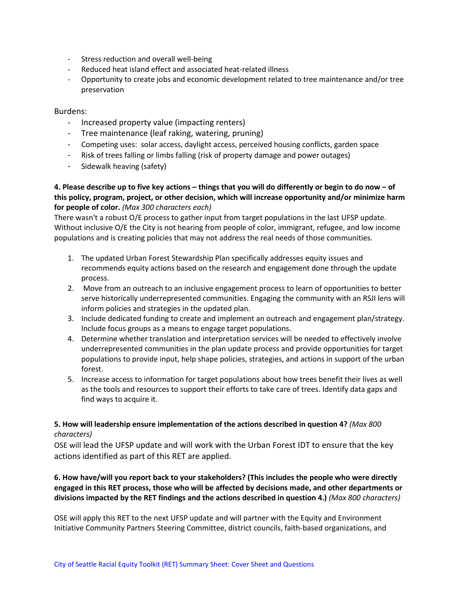- Stress reduction and overall well-being
- Reduced heat island effect and associated heat-related illness
- Opportunity to create jobs and economic development related to tree maintenance and/or tree preservation

#### Burdens:

- Increased property value (impacting renters)
- Tree maintenance (leaf raking, watering, pruning)
- Competing uses: solar access, daylight access, perceived housing conflicts, garden space
- Risk of trees falling or limbs falling (risk of property damage and power outages)
- Sidewalk heaving (safety)

# **4. Please describe up to five key actions – things that you will do differently or begin to do now – of this policy, program, project, or other decision, which will increase opportunity and/or minimize harm for people of color.** *(Max 300 characters each)*

There wasn't a robust O/E process to gather input from target populations in the last UFSP update. Without inclusive O/E the City is not hearing from people of color, immigrant, refugee, and low income populations and is creating policies that may not address the real needs of those communities.

- 1. The updated Urban Forest Stewardship Plan specifically addresses equity issues and recommends equity actions based on the research and engagement done through the update process.
- 2. Move from an outreach to an inclusive engagement process to learn of opportunities to better serve historically underrepresented communities. Engaging the community with an RSJI lens will inform policies and strategies in the updated plan.
- 3. Include dedicated funding to create and implement an outreach and engagement plan/strategy. Include focus groups as a means to engage target populations.
- 4. Determine whether translation and interpretation services will be needed to effectively involve underrepresented communities in the plan update process and provide opportunities for target populations to provide input, help shape policies, strategies, and actions in support of the urban forest.
- 5. Increase access to information for target populations about how trees benefit their lives as well as the tools and resources to support their efforts to take care of trees. Identify data gaps and find ways to acquire it.

### **5. How will leadership ensure implementation of the actions described in question 4?** *(Max 800 characters)*

OSE will lead the UFSP update and will work with the Urban Forest IDT to ensure that the key actions identified as part of this RET are applied.

# **6. How have/will you report back to your stakeholders? (This includes the people who were directly engaged in this RET process, those who will be affected by decisions made, and other departments or divisions impacted by the RET findings and the actions described in question 4.)** *(Max 800 characters)*

OSE will apply this RET to the next UFSP update and will partner with the Equity and Environment Initiative Community Partners Steering Committee, district councils, faith-based organizations, and